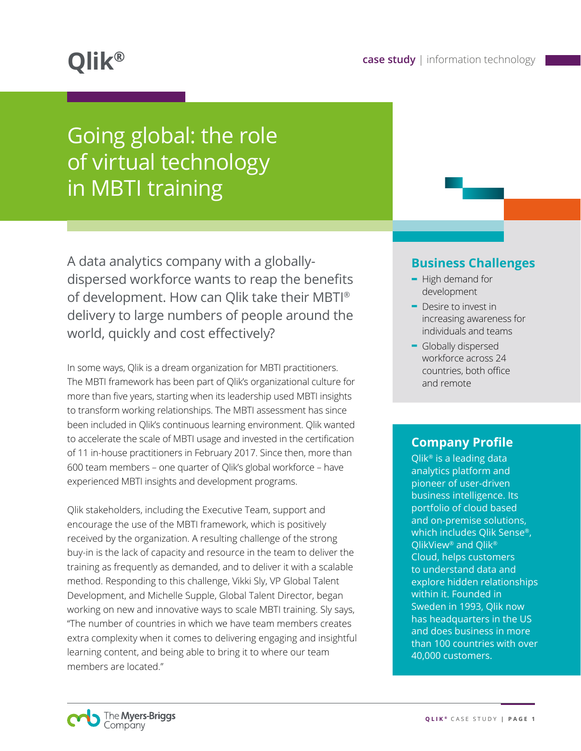# Going global: the role of virtual technology in MBTI training

A data analytics company with a globallydispersed workforce wants to reap the benefits of development. How can Qlik take their MBTI ® delivery to large numbers of people around the world, quickly and cost effectively?

In some ways, Qlik is a dream organization for MBTI practitioners. The MBTI framework has been part of Qlik's organizational culture for more than five years, starting when its leadership used MBTI insights to transform working relationships. The MBTI assessment has since been included in Qlik's continuous learning environment. Qlik wanted to accelerate the scale of MBTI usage and invested in the certification of 11 in-house practitioners in February 2017. Since then, more than 600 team members – one quarter of Qlik's global workforce – have experienced MBTI insights and development programs.

Qlik stakeholders, including the Executive Team, support and encourage the use of the MBTI framework, which is positively received by the organization. A resulting challenge of the strong buy-in is the lack of capacity and resource in the team to deliver the training as frequently as demanded, and to deliver it with a scalable method. Responding to this challenge, Vikki Sly, VP Global Talent Development, and Michelle Supple, Global Talent Director, began working on new and innovative ways to scale MBTI training. Sly says, "The number of countries in which we have team members creates extra complexity when it comes to delivering engaging and insightful learning content, and being able to bring it to where our team members are located."

#### **Business Challenges**

- **-** High demand for development
- **-** Desire to invest in increasing awareness for individuals and teams
- **-** Globally dispersed workforce across 24 countries, both office and remote

## **Company Profile**

Qlik® is a leading data analytics platform and pioneer of user-driven business intelligence. Its portfolio of cloud based and on-premise solutions, which includes Qlik Sense®, QlikView® and Qlik® Cloud, helps customers to understand data and explore hidden relationships within it. Founded in Sweden in 1993, Qlik now has headquarters in the US and does business in more than 100 countries with over 40,000 customers.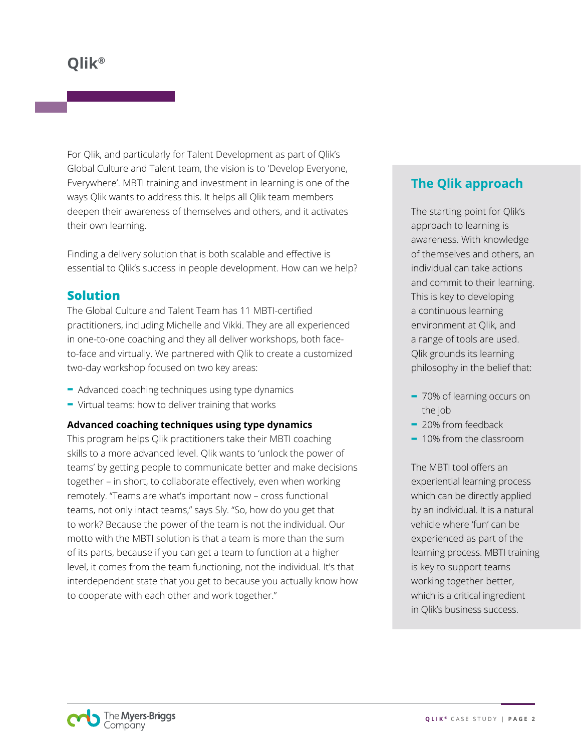For Qlik, and particularly for Talent Development as part of Qlik's Global Culture and Talent team, the vision is to 'Develop Everyone, Everywhere'. MBTI training and investment in learning is one of the ways Qlik wants to address this. It helps all Qlik team members deepen their awareness of themselves and others, and it activates their own learning.

Finding a delivery solution that is both scalable and effective is essential to Qlik's success in people development. How can we help?

## **Solution**

The Global Culture and Talent Team has 11 MBTI-certified practitioners, including Michelle and Vikki. They are all experienced in one-to-one coaching and they all deliver workshops, both faceto-face and virtually. We partnered with Qlik to create a customized two-day workshop focused on two key areas:

- **-** Advanced coaching techniques using type dynamics
- **-** Virtual teams: how to deliver training that works

#### **Advanced coaching techniques using type dynamics**

This program helps Qlik practitioners take their MBTI coaching skills to a more advanced level. Qlik wants to 'unlock the power of teams' by getting people to communicate better and make decisions together – in short, to collaborate effectively, even when working remotely. "Teams are what's important now – cross functional teams, not only intact teams," says Sly. "So, how do you get that to work? Because the power of the team is not the individual. Our motto with the MBTI solution is that a team is more than the sum of its parts, because if you can get a team to function at a higher level, it comes from the team functioning, not the individual. It's that interdependent state that you get to because you actually know how to cooperate with each other and work together."

# **The Qlik approach**

The starting point for Qlik's approach to learning is awareness. With knowledge of themselves and others, an individual can take actions and commit to their learning. This is key to developing a continuous learning environment at Qlik, and a range of tools are used. Qlik grounds its learning philosophy in the belief that:

- **-** 70% of learning occurs on the job
- **-** 20% from feedback
- **-** 10% from the classroom

The MBTI tool offers an experiential learning process which can be directly applied by an individual. It is a natural vehicle where 'fun' can be experienced as part of the learning process. MBTI training is key to support teams working together better, which is a critical ingredient in Qlik's business success.

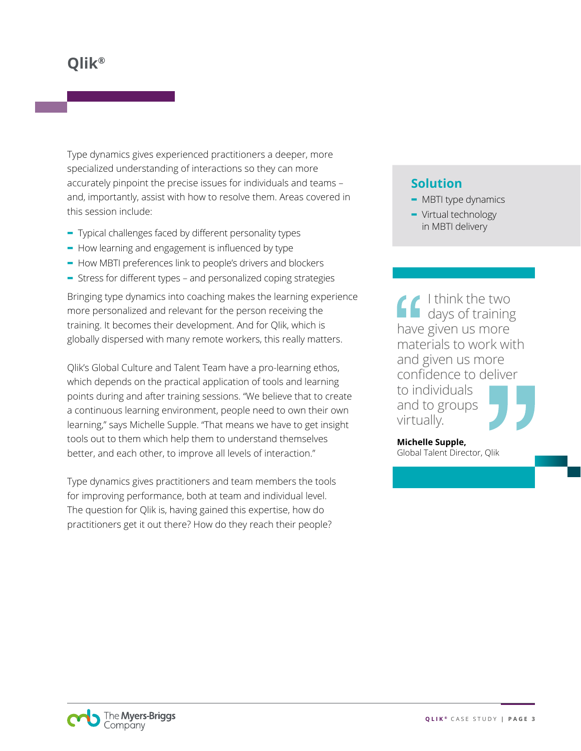Type dynamics gives experienced practitioners a deeper, more specialized understanding of interactions so they can more accurately pinpoint the precise issues for individuals and teams – and, importantly, assist with how to resolve them. Areas covered in this session include:

- **-** Typical challenges faced by different personality types
- **-** How learning and engagement is influenced by type
- **-** How MBTI preferences link to people's drivers and blockers
- **-** Stress for different types and personalized coping strategies

Bringing type dynamics into coaching makes the learning experience more personalized and relevant for the person receiving the training. It becomes their development. And for Qlik, which is globally dispersed with many remote workers, this really matters.

Qlik's Global Culture and Talent Team have a pro-learning ethos, which depends on the practical application of tools and learning points during and after training sessions. "We believe that to create a continuous learning environment, people need to own their own learning," says Michelle Supple. "That means we have to get insight tools out to them which help them to understand themselves better, and each other, to improve all levels of interaction."

Type dynamics gives practitioners and team members the tools for improving performance, both at team and individual level. The question for Qlik is, having gained this expertise, how do practitioners get it out there? How do they reach their people?

# **Solution**

- **-** MBTI type dynamics
- **-** Virtual technology in MBTI delivery

I think the two days of training have given us more materials to work with and given us more confidence to deliver to individuals and to groups virtually.

**Michelle Supple,**  Global Talent Director, Qlik

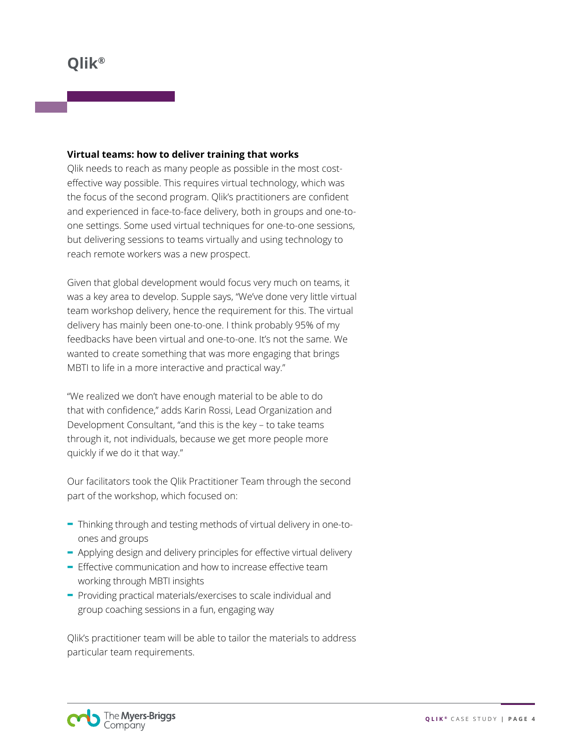#### **Virtual teams: how to deliver training that works**

Qlik needs to reach as many people as possible in the most costeffective way possible. This requires virtual technology, which was the focus of the second program. Qlik's practitioners are confident and experienced in face-to-face delivery, both in groups and one-toone settings. Some used virtual techniques for one-to-one sessions, but delivering sessions to teams virtually and using technology to reach remote workers was a new prospect.

Given that global development would focus very much on teams, it was a key area to develop. Supple says, "We've done very little virtual team workshop delivery, hence the requirement for this. The virtual delivery has mainly been one-to-one. I think probably 95% of my feedbacks have been virtual and one-to-one. It's not the same. We wanted to create something that was more engaging that brings MBTI to life in a more interactive and practical way."

"We realized we don't have enough material to be able to do that with confidence," adds Karin Rossi, Lead Organization and Development Consultant, "and this is the key – to take teams through it, not individuals, because we get more people more quickly if we do it that way."

Our facilitators took the Qlik Practitioner Team through the second part of the workshop, which focused on:

- **-** Thinking through and testing methods of virtual delivery in one-toones and groups
- **-** Applying design and delivery principles for effective virtual delivery
- **-** Effective communication and how to increase effective team working through MBTI insights
- **-** Providing practical materials/exercises to scale individual and group coaching sessions in a fun, engaging way

Qlik's practitioner team will be able to tailor the materials to address particular team requirements.

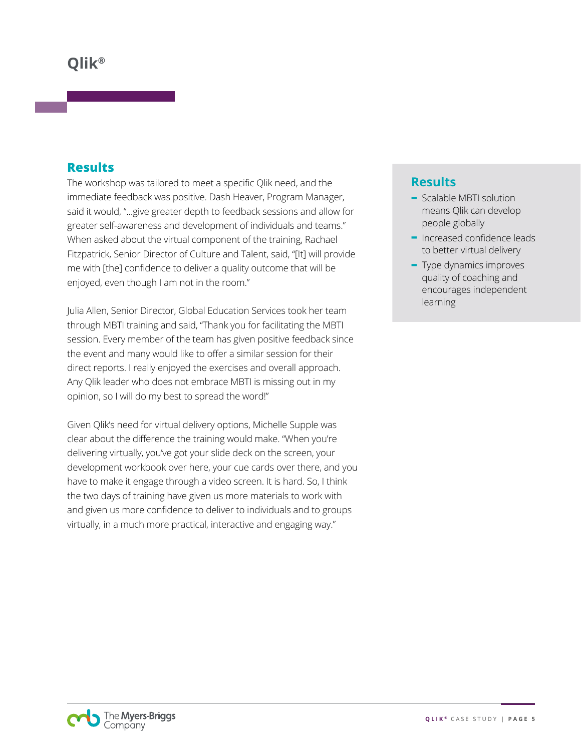#### **Results**

The workshop was tailored to meet a specific Qlik need, and the immediate feedback was positive. Dash Heaver, Program Manager, said it would, "...give greater depth to feedback sessions and allow for greater self-awareness and development of individuals and teams." When asked about the virtual component of the training, Rachael Fitzpatrick, Senior Director of Culture and Talent, said, "[It] will provide me with [the] confidence to deliver a quality outcome that will be enjoyed, even though I am not in the room."

Julia Allen, Senior Director, Global Education Services took her team through MBTI training and said, "Thank you for facilitating the MBTI session. Every member of the team has given positive feedback since the event and many would like to offer a similar session for their direct reports. I really enjoyed the exercises and overall approach. Any Qlik leader who does not embrace MBTI is missing out in my opinion, so I will do my best to spread the word!"

Given Qlik's need for virtual delivery options, Michelle Supple was clear about the difference the training would make. "When you're delivering virtually, you've got your slide deck on the screen, your development workbook over here, your cue cards over there, and you have to make it engage through a video screen. It is hard. So, I think the two days of training have given us more materials to work with and given us more confidence to deliver to individuals and to groups virtually, in a much more practical, interactive and engaging way."

# **Results**

- **-** Scalable MBTI solution means Qlik can develop people globally
- **-** Increased confidence leads to better virtual delivery
- **-** Type dynamics improves quality of coaching and encourages independent learning

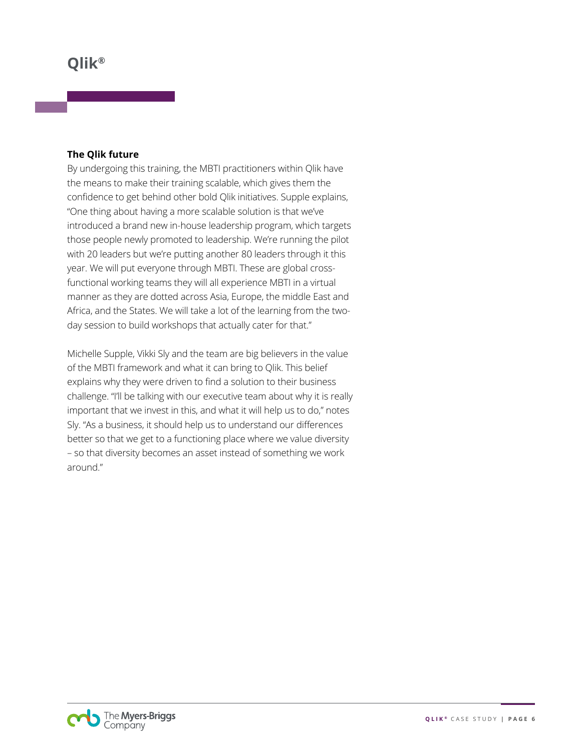#### **The Qlik future**

By undergoing this training, the MBTI practitioners within Qlik have the means to make their training scalable, which gives them the confidence to get behind other bold Qlik initiatives. Supple explains, "One thing about having a more scalable solution is that we've introduced a brand new in-house leadership program, which targets those people newly promoted to leadership. We're running the pilot with 20 leaders but we're putting another 80 leaders through it this year. We will put everyone through MBTI. These are global crossfunctional working teams they will all experience MBTI in a virtual manner as they are dotted across Asia, Europe, the middle East and Africa, and the States. We will take a lot of the learning from the twoday session to build workshops that actually cater for that."

Michelle Supple, Vikki Sly and the team are big believers in the value of the MBTI framework and what it can bring to Qlik. This belief explains why they were driven to find a solution to their business challenge. "I'll be talking with our executive team about why it is really important that we invest in this, and what it will help us to do," notes Sly. "As a business, it should help us to understand our differences better so that we get to a functioning place where we value diversity – so that diversity becomes an asset instead of something we work around."